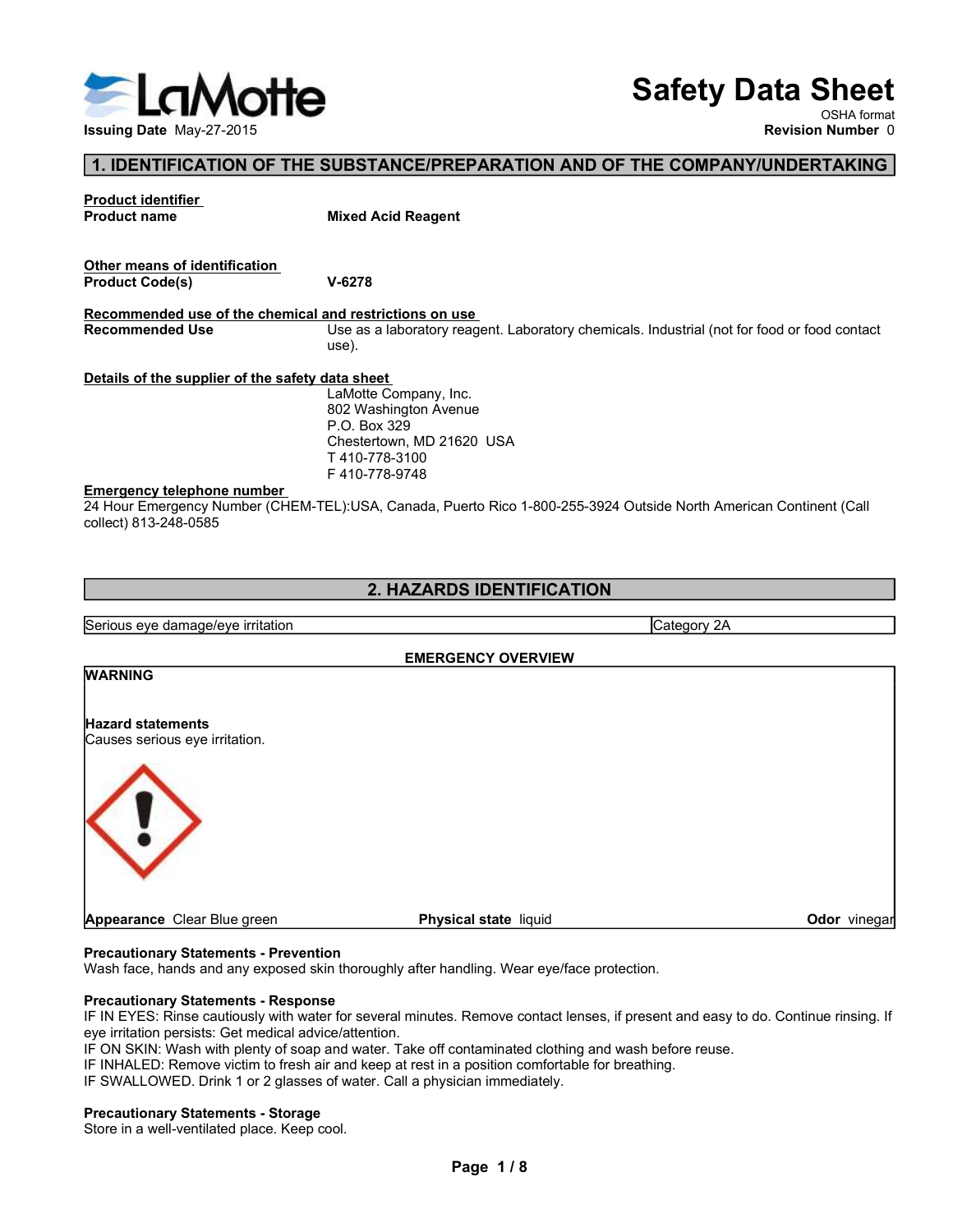

# Safety Data Sheet

OSHA format<br>Revision Number 0

# 1. IDENTIFICATION OF THE SUBSTANCE/PREPARATION AND OF THE COMPANY/UNDERTAKING

Safe<br>
Issuing Date May-27-2015<br>
1. IDENTIFICATION OF THE SUBSTANCE/PREPARATION AND OF THE CONTROLL ISSUES<br>
Product identification<br>
Other means of identification<br>
Product Code(s)<br>
Recommended Use<br>
Recommended Use<br>
(Use as a **Example the May-27-2015**<br>
Issuing Date May-27-2015<br>
In the May-27-2015<br>
Troduct Identifier<br>
Product Code(s)<br>
Product Code(s)<br>
Product Code(s)<br>
Product Code(s)<br>
Recommended use of the chemical and restrictions on use<br>
Mixe **EXERCISE AND SET AND SET AND SET AND AND SET AND SET A SHOPLE THE SUBSTANCE/PREPARATION AND OF THE COMPANY/UNDERTAKING<br>
Throduct identifier<br>
Product code(s)<br>
Product code(s)<br>
Product Code(s)<br>
Recommended use of the chemic** Safety Data Sheet<br>
Revision Number<br>
1. IDENTIFICATION OF THE SUBSTANCE/PREPARATION AND OF THE COMPANY/UNDERTAKING<br>
Product change<br>
Product Code(s)<br>
Nexted Acid Reagent<br>
Product Code(s)<br>
Product Code(s)<br>
Use as a laboratory use). Safety Data Sheeting Data May-27-2015<br>
1. IDENTIFICATION OF THE SUBSTANCE/PREPARATION AND OF THE COMPANY/UNDERTAKI<br>
Product identifier<br>
Product code(s)<br>
Product code(s)<br>
Product Code(s)<br>
Product Code(s)<br>
Nexter of the safe Emergency telephone number<br>
Emergency Yuelphone number<br>
The Substitute of the Substitute Content of the Substitute Area<br>
Product Identified Mixed Acid Reagent<br>
Product Code(s)<br>
Product Code(s)<br>
Product Code(s)<br>
Details of 24 HOURTHE CATION OF THE SUBSTANCE/PREPARATION AND OF THE COMPANY/UNDERTAKING<br>
24 Hourse of the COMPANY/UNDERTAKING<br>
24 Product don't<br>
24 Product Code is a Bost of the chemical and restrictions on use<br>
24 All Reagent<br>
24 A Issuing Date May-27-2015<br>
1. IDENTIFICATION OF THE SUBSTANCE/PREPARATION AND OF T<br>
Product identifier<br>
Other means of identification<br>
Product code(s)<br>
Product Code(s)<br>
Product Code(s)<br>
Nextangle use of the chemical and res **Safety Data Sheet**<br>
Novision Number 0<br>
Revision Number 0<br>
Nixed Acid Reagent<br>
Mixed Acid Reagent<br>
V-6278<br>
<u>nd restrictions on use</u><br>
USE as a laboratory reagent. Laboratory chemicals. Industrial (not for food or food conta **Safety Data Sheet**<br>
SHA format<br>
Revision Number 0<br>
Nixed Acid Reagent<br>
Mixed Acid Reagent<br>
V-6278<br>
SHA for the COMPANY/UNDERTAKING<br>
USE as a laboratory reagent. Laboratory chemicals. Industrial (not for food or food conta **Safety Data Sheet**<br>
NEW OSHA format<br>
Revision Number 0<br>
Nixed Acid Reagent<br>
Nixed Acid Reagent<br>
U-6278<br>
U-628 alaboratory reagent. Laboratory chemicals. Industrial (not for food or food contact<br>
U-628 alaboratory reagent.

P.O. Box 329<br>Chestertown, MD 21620 USA T 410-778-3100 F 410-778-9748

2. HAZARDS IDENTIFICATION

From the distribution of the chemical and restrictions on use<br>
Recommended use of the chemical and restrictions on use<br>
Recommended use of the chemical and restrictions on use<br>
Recommended Use<br>
Server the supplier of the s EMERGENCY OVERVIEW 2. HAZARDS IDENTIFICATION<br>
Serious eye damage/eye irritation<br>
WARNING<br>
Hazard statements<br>
Category 2A<br>
Precautionary Statements<br>
Causes serious eye irritation.<br>
Precautionary Statements - Prevention<br>
Precautionary Statemen **EXERCISE SERVIP CATION CONSERVIPY CATION**<br>
EMERGENCY OVERVIEW<br>
VARNING<br>
Category 2A<br>
Category 2A<br>
Appearance Clear Blue green<br>
Procautionary Statements - Prevention<br>
Wear hand any exposed skin thoroughly after handling. W Category 2A<br>
EMERGENCY OVERVIEW<br>
MARNING<br>
Hazard statements<br>
Category 2A<br>
Precautionary Statements<br>
Causes serious eye irrilation.<br>
Precautionary Statements - Prevention<br>
Precautionary Statements - Response<br>
Physical state Serious eye damage/eye tritation<br>
Hazard statements<br>
Hazard statements<br>
Causes serious eye irritation,<br>
Causes serious eye irritation,<br>
Causes serious eye irritation,<br>
Vacard Maxard Maxard Statements - PreventIon<br>
Vacard M EMERGENCY OVERVIEW<br>
WARNING<br>
Hazard statements<br>
Causes serious eye irritation.<br>
Causes serious eye irritation.<br>
Perseutitonary Statements - Prevention<br>
Wash face, hands and any exposed skin thoroughly after handling. Wear **IF ON SKIN: WASHING**<br> **IF ON SKIN: WASHER WASHER WASHER WASHER WASHER WASHER WASHER WASHER WASHER WASHER PROBABLY ON SURFACE OF SOMETHER PROPORTION PROBABLY THE INTERNATION PROPORTION PROPORTION PROPORTION PROPORTION PROP IF INDEXERATE CONDUCTS AIR IN THE INTERFERANCE CONDUCTS AND ARRANGEMENT CONDUCTS SERVICE SERVICE CONDUCTS ARRANGEMENT CONDUCTS (SUPPRESS) With face, thanks and any exposed skin thoroughly after handling. Wear eye/face pro** WARNING<br> **IF Systems and Statements**<br> **Appearance** Clear Blue green<br> **Precautionary Statements - Prevention**<br>
West face, Rands and any sponses<br>
View in the Call a physician immediately. We are yelling to precision.<br>
The IN **Precautionary Statements**<br> **Precautionary Statements - Prevention**<br> **Precautionary Statements - Prevention**<br>
Precautionary Statements - Prevention<br>
Precautionary Statements - Response<br>
Precautionary Statements - Response<br> **Hazard statements**<br> **Causes serious eye Irritation.**<br> **Procautionary Statements - Provention**<br> **Procautionary Statements - Provention**<br> **Precautionary Statements - Response**<br> **Precautionary Statements - Response**<br>
We Irri **WARNING** Maximiented Use<br>
Mecommended Use<br>
Use as a laboratory reagent. Laboratory chemicals.<br>
Use as a laboratory reagent. Laboratory chemicals.<br>
Use as a laboratory reagent. Laboratory chemicals.<br>
BO BOX 329<br>
Chestertown, MD 2162 Details of the supplier of the safety data sheet.<br>
LaMotte Company, Inc.<br>
LaMotte Company, Inc.<br>
202 Washington Avenue<br>
P.O. Box 329<br>
Chestertown, MD 21620 USA<br>
T410-778-9748<br>
24 Hour Emergency Number (CHEM-TEL):USA, Canad Collect) 813-248-0565<br>
2. HAZARDS IDENTIFICATION<br>
Serious eye damage/eye irritation<br>
WARNING<br>
Maxard statements<br>
Causes serious eye irritation.<br>
Physical state liquid<br>
Proventionary Statements<br>
Proventionary Statements<br>
Pr Cal state liquid<br>
Ddor vinegar<br>
andling. Wear eye/face protection.<br>
Example of the present and easy to do. Continue rinsing. If<br>
contaminated clothing and wash before reuse.<br>
a position comfortable for breathing.<br>
Page 1/8

- 
-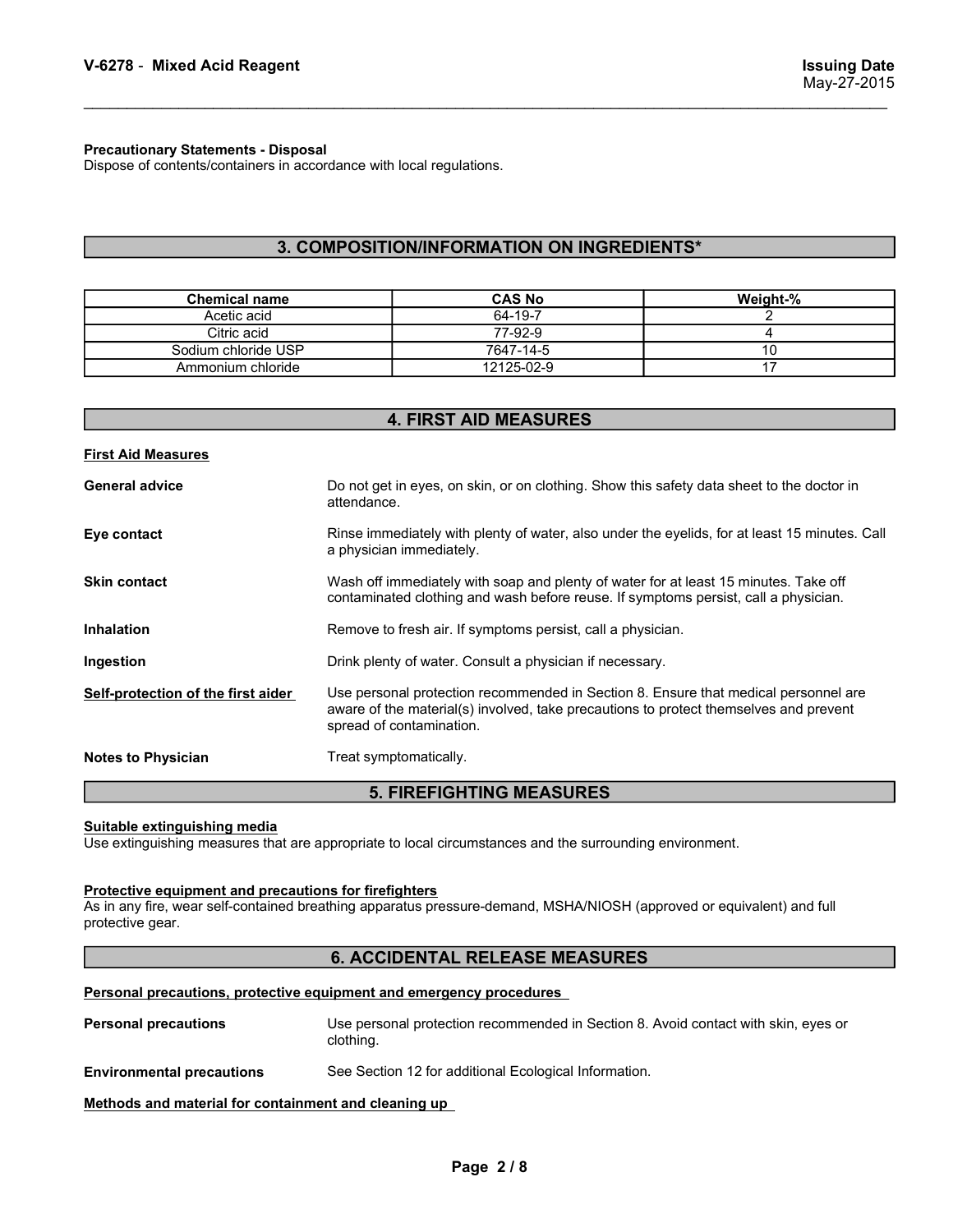# V-6278 - Mixed Acid Reagent<br>
May-27-2015<br>
Precautionary Statements - Disposal<br>
Pisnose of contents/containers in accordance with local requisitions

V-6278 - Mixed Acid Reagent<br>
Precautionary Statements - Disposal<br>
Dispose of contents/containers in accordance with local regulations.<br>
3. COMPOSITION/INFORMATION ON INGREDIENTS\*

# V-6278 - Mixed Acid Reagent<br>
Dispose of contents/containers in accordance with local regulations.<br>
Dispose of contents/containers in accordance with local regulations.<br>
3. COMPOSITION/INFORMATION ON INGREDIENTS\* 3. COMPOSITION/INFORMATION ON INGREDIENTS\*

| V-6278 - Mixed Acid Reagent<br>May-27-2015<br><b>Precautionary Statements - Disposal</b><br>Dispose of contents/containers in accordance with local regulations.<br>3. COMPOSITION/INFORMATION ON INGREDIENTS*<br><b>Chemical name</b><br><b>CAS No</b><br>Weight-%<br>64-19-7<br>Acetic acid<br>2 |             |         |                     |
|----------------------------------------------------------------------------------------------------------------------------------------------------------------------------------------------------------------------------------------------------------------------------------------------------|-------------|---------|---------------------|
|                                                                                                                                                                                                                                                                                                    |             |         | <b>Issuing Date</b> |
|                                                                                                                                                                                                                                                                                                    |             |         |                     |
|                                                                                                                                                                                                                                                                                                    |             |         |                     |
|                                                                                                                                                                                                                                                                                                    |             |         |                     |
|                                                                                                                                                                                                                                                                                                    |             |         |                     |
|                                                                                                                                                                                                                                                                                                    |             |         |                     |
|                                                                                                                                                                                                                                                                                                    |             |         |                     |
| Sodium chloride USP<br>7647-14-5<br>10                                                                                                                                                                                                                                                             |             |         |                     |
| $\overline{17}$<br>Ammonium chloride<br>12125-02-9                                                                                                                                                                                                                                                 | Citric acid | 77-92-9 | 4                   |

| <b>Precautionary Statements - Disposal</b><br>Dispose of contents/containers in accordance with local regulations.                                                                                                                             |
|------------------------------------------------------------------------------------------------------------------------------------------------------------------------------------------------------------------------------------------------|
| 3. COMPOSITION/INFORMATION ON INGREDIENTS*                                                                                                                                                                                                     |
| <b>CAS No</b><br><b>Chemical name</b><br>Weight-%                                                                                                                                                                                              |
| 64-19-7<br>$\overline{2}$<br>Acetic acid                                                                                                                                                                                                       |
| 77-92-9<br>Citric acid<br>4                                                                                                                                                                                                                    |
| Sodium chloride USP<br>7647-14-5<br>10                                                                                                                                                                                                         |
| $\overline{17}$<br>Ammonium chloride<br>12125-02-9                                                                                                                                                                                             |
| <b>4. FIRST AID MEASURES</b>                                                                                                                                                                                                                   |
| <b>First Aid Measures</b>                                                                                                                                                                                                                      |
| Do not get in eyes, on skin, or on clothing. Show this safety data sheet to the doctor in<br><b>General advice</b><br>attendance.                                                                                                              |
| Rinse immediately with plenty of water, also under the eyelids, for at least 15 minutes. Call<br>Eye contact<br>a physician immediately.                                                                                                       |
| Wash off immediately with soap and plenty of water for at least 15 minutes. Take off<br><b>Skin contact</b><br>contaminated clothing and wash before reuse. If symptoms persist, call a physician.                                             |
| Remove to fresh air. If symptoms persist, call a physician.<br>Inhalation                                                                                                                                                                      |
| Drink plenty of water. Consult a physician if necessary.<br>Ingestion                                                                                                                                                                          |
| Use personal protection recommended in Section 8. Ensure that medical personnel are<br>Self-protection of the first aider<br>aware of the material(s) involved, take precautions to protect themselves and prevent<br>spread of contamination. |
| <b>Notes to Physician</b><br>Treat symptomatically.                                                                                                                                                                                            |
| <b>5. FIREFIGHTING MEASURES</b>                                                                                                                                                                                                                |
| Suitable extinguishing media<br>Use extinguishing measures that are appropriate to local circumstances and the surrounding environment.                                                                                                        |
| Protective equipment and precautions for firefighters<br>As in any fire, wear self-contained breathing apparatus pressure-demand, MSHA/NIOSH (approved or equivalent) and full<br>protective gear.                                             |
| <b>6. ACCIDENTAL RELEASE MEASURES</b>                                                                                                                                                                                                          |
| Personal precautions, protective equipment and emergency procedures                                                                                                                                                                            |
| Use personal protection recommended in Section 8. Avoid contact with skin, eyes or<br><b>Personal precautions</b><br>clothing.                                                                                                                 |
| See Section 12 for additional Ecological Information.<br><b>Environmental precautions</b>                                                                                                                                                      |
| Methods and material for containment and cleaning up                                                                                                                                                                                           |
|                                                                                                                                                                                                                                                |
| Page 2/8                                                                                                                                                                                                                                       |

# 5. FIREFIGHTING MEASURES

# 6. ACCIDENTAL RELEASE MEASURES

| nolos lo i liysiolan                                                      | <b>TIGAL SYNIPRONIQUOGHY.</b>                                                                                         |
|---------------------------------------------------------------------------|-----------------------------------------------------------------------------------------------------------------------|
|                                                                           | <b>5. FIREFIGHTING MEASURES</b>                                                                                       |
| Suitable extinguishing media                                              | Use extinguishing measures that are appropriate to local circumstances and the surrounding environment.               |
| Protective equipment and precautions for firefighters<br>protective gear. | As in any fire, wear self-contained breathing apparatus pressure-demand, MSHA/NIOSH (approved or equivalent) and full |
|                                                                           | <b>6. ACCIDENTAL RELEASE MEASURES</b>                                                                                 |
|                                                                           | Personal precautions, protective equipment and emergency procedures                                                   |
| <b>Personal precautions</b>                                               | Use personal protection recommended in Section 8. Avoid contact with skin, eyes or<br>clothing.                       |
| <b>Environmental precautions</b>                                          | See Section 12 for additional Ecological Information.                                                                 |
| Methods and material for containment and cleaning up                      |                                                                                                                       |
|                                                                           | Page 2/8                                                                                                              |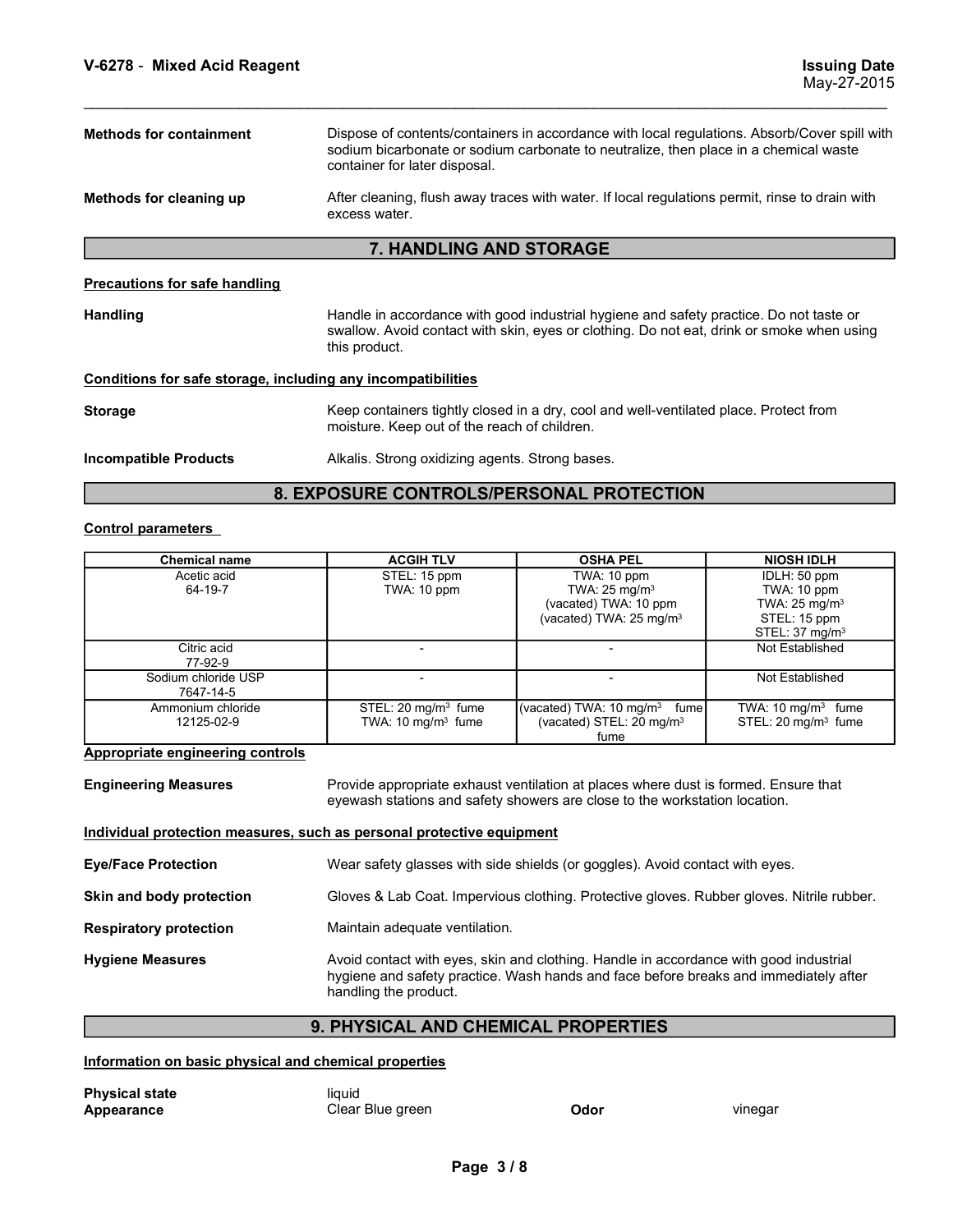| V-6278 - Mixed Acid Reagent                                  |                                                                   |                                                                                                                                                                                      | <b>Issuing Date</b><br>May-27-2015                                                                                          |
|--------------------------------------------------------------|-------------------------------------------------------------------|--------------------------------------------------------------------------------------------------------------------------------------------------------------------------------------|-----------------------------------------------------------------------------------------------------------------------------|
| <b>Methods for containment</b>                               | container for later disposal.                                     | Dispose of contents/containers in accordance with local regulations. Absorb/Cover spill with<br>sodium bicarbonate or sodium carbonate to neutralize, then place in a chemical waste |                                                                                                                             |
| Methods for cleaning up                                      | excess water.                                                     | After cleaning, flush away traces with water. If local regulations permit, rinse to drain with                                                                                       |                                                                                                                             |
|                                                              | 7. HANDLING AND STORAGE                                           |                                                                                                                                                                                      |                                                                                                                             |
| <b>Precautions for safe handling</b>                         |                                                                   |                                                                                                                                                                                      |                                                                                                                             |
| <b>Handling</b>                                              | this product.                                                     | Handle in accordance with good industrial hygiene and safety practice. Do not taste or<br>swallow. Avoid contact with skin, eyes or clothing. Do not eat, drink or smoke when using  |                                                                                                                             |
| Conditions for safe storage, including any incompatibilities |                                                                   |                                                                                                                                                                                      |                                                                                                                             |
| <b>Storage</b>                                               | moisture. Keep out of the reach of children.                      | Keep containers tightly closed in a dry, cool and well-ventilated place. Protect from                                                                                                |                                                                                                                             |
| <b>Incompatible Products</b>                                 | Alkalis. Strong oxidizing agents. Strong bases.                   |                                                                                                                                                                                      |                                                                                                                             |
|                                                              |                                                                   | 8. EXPOSURE CONTROLS/PERSONAL PROTECTION                                                                                                                                             |                                                                                                                             |
| <b>Control parameters</b>                                    |                                                                   |                                                                                                                                                                                      |                                                                                                                             |
| <b>Chemical name</b><br>Acetic acid<br>64-19-7               | <b>ACGIH TLV</b><br>STEL: 15 ppm<br>TWA: 10 ppm                   | <b>OSHA PEL</b><br>TWA: 10 ppm<br>TWA: 25 mg/m <sup>3</sup><br>(vacated) TWA: 10 ppm<br>(vacated) TWA: 25 mg/m <sup>3</sup>                                                          | <b>NIOSH IDLH</b><br>IDLH: 50 ppm<br>TWA: 10 ppm<br>TWA: 25 mg/m <sup>3</sup><br>STEL: 15 ppm<br>STEL: 37 mg/m <sup>3</sup> |
| Citric acid<br>77-92-9                                       | $\overline{\phantom{a}}$                                          | $\blacksquare$                                                                                                                                                                       | Not Established                                                                                                             |
| Sodium chloride USP<br>7647-14-5                             | $\overline{\phantom{a}}$                                          | $\overline{\phantom{a}}$                                                                                                                                                             | Not Established                                                                                                             |
| Ammonium chloride<br>12125-02-9                              | STEL: 20 mg/m <sup>3</sup> fume<br>TWA: 10 mg/m <sup>3</sup> fume | (vacated) TWA: 10 mg/m <sup>3</sup> fume<br>(vacated) STEL: 20 mg/m <sup>3</sup><br>fume                                                                                             | TWA: 10 mg/m <sup>3</sup> fume<br>STEL: 20 mg/m <sup>3</sup> fume                                                           |
| Appropriate engineering controls                             |                                                                   |                                                                                                                                                                                      |                                                                                                                             |

# 8. EXPOSURE CONTROLS/PERSONAL PROTECTION

|                                                                       | this product.                                                                             |                                                                                                                                                                               |                                                                                                       |  |  |
|-----------------------------------------------------------------------|-------------------------------------------------------------------------------------------|-------------------------------------------------------------------------------------------------------------------------------------------------------------------------------|-------------------------------------------------------------------------------------------------------|--|--|
| Conditions for safe storage, including any incompatibilities          |                                                                                           |                                                                                                                                                                               |                                                                                                       |  |  |
| <b>Storage</b>                                                        | moisture. Keep out of the reach of children.                                              | Keep containers tightly closed in a dry, cool and well-ventilated place. Protect from                                                                                         |                                                                                                       |  |  |
| <b>Incompatible Products</b>                                          | Alkalis. Strong oxidizing agents. Strong bases.                                           |                                                                                                                                                                               |                                                                                                       |  |  |
|                                                                       | 8. EXPOSURE CONTROLS/PERSONAL PROTECTION                                                  |                                                                                                                                                                               |                                                                                                       |  |  |
| <b>Control parameters</b>                                             |                                                                                           |                                                                                                                                                                               |                                                                                                       |  |  |
| <b>Chemical name</b>                                                  | <b>ACGIH TLV</b>                                                                          | <b>OSHA PEL</b>                                                                                                                                                               | <b>NIOSH IDLH</b>                                                                                     |  |  |
| Acetic acid<br>64-19-7                                                | STEL: 15 ppm<br>TWA: 10 ppm                                                               | TWA: 10 ppm<br>TWA: $25 \text{ mg/m}^3$<br>(vacated) TWA: 10 ppm<br>(vacated) TWA: 25 mg/m <sup>3</sup>                                                                       | IDLH: 50 ppm<br>TWA: 10 ppm<br>TWA: $25 \text{ mg/m}^3$<br>STEL: 15 ppm<br>STEL: 37 mg/m <sup>3</sup> |  |  |
| Citric acid<br>77-92-9                                                |                                                                                           |                                                                                                                                                                               | Not Established                                                                                       |  |  |
| Sodium chloride USP<br>7647-14-5                                      |                                                                                           |                                                                                                                                                                               | Not Established                                                                                       |  |  |
| Ammonium chloride<br>12125-02-9                                       | STEL: 20 mg/m <sup>3</sup> fume<br>TWA: 10 mg/m $3$ fume                                  | (vacated) TWA: 10 mg/m <sup>3</sup> fume<br>(vacated) STEL: 20 mg/m <sup>3</sup><br>fume                                                                                      | TWA: $10 \text{ mg/m}^3$ fume<br>STEL: 20 mg/m <sup>3</sup> fume                                      |  |  |
| <b>Appropriate engineering controls</b>                               |                                                                                           |                                                                                                                                                                               |                                                                                                       |  |  |
| <b>Engineering Measures</b>                                           |                                                                                           | Provide appropriate exhaust ventilation at places where dust is formed. Ensure that<br>eyewash stations and safety showers are close to the workstation location.             |                                                                                                       |  |  |
| Individual protection measures, such as personal protective equipment |                                                                                           |                                                                                                                                                                               |                                                                                                       |  |  |
| <b>Eye/Face Protection</b>                                            |                                                                                           | Wear safety glasses with side shields (or goggles). Avoid contact with eyes.                                                                                                  |                                                                                                       |  |  |
| Skin and body protection                                              | Gloves & Lab Coat. Impervious clothing. Protective gloves. Rubber gloves. Nitrile rubber. |                                                                                                                                                                               |                                                                                                       |  |  |
| <b>Respiratory protection</b>                                         | Maintain adequate ventilation.                                                            |                                                                                                                                                                               |                                                                                                       |  |  |
| <b>Hygiene Measures</b>                                               | handling the product.                                                                     | Avoid contact with eyes, skin and clothing. Handle in accordance with good industrial<br>hygiene and safety practice. Wash hands and face before breaks and immediately after |                                                                                                       |  |  |
|                                                                       | 9. PHYSICAL AND CHEMICAL PROPERTIES                                                       |                                                                                                                                                                               |                                                                                                       |  |  |
| lafarmatian an baaig nhugigal and ahamigal nrangriiga                 |                                                                                           |                                                                                                                                                                               |                                                                                                       |  |  |

| 64-19-7<br>TWA: 10 ppm<br>TWA: $25 \text{ mg/m}^3$<br>TWA: 10 ppm<br>(vacated) TWA: 10 ppm<br>TWA: $25 \text{ mg/m}^3$<br>(vacated) TWA: 25 mg/m <sup>3</sup><br>STEL: 15 ppm<br>STEL: 37 mg/m <sup>3</sup><br>Citric acid<br>Not Established<br>$\overline{\phantom{a}}$<br>٠<br>77-92-9<br>Sodium chloride USP<br>Not Established<br>7647-14-5<br>STEL: 20 mg/m <sup>3</sup> fume<br>(vacated) TWA: 10 mg/m <sup>3</sup> fume<br>Ammonium chloride<br>TWA: 10 mg/m <sup>3</sup> fume<br>(vacated) STEL: 20 mg/m <sup>3</sup><br>12125-02-9<br>TWA: 10 mg/m $3$ fume<br>STEL: 20 mg/m <sup>3</sup> fume<br>fume<br>Provide appropriate exhaust ventilation at places where dust is formed. Ensure that<br>eyewash stations and safety showers are close to the workstation location.<br>Wear safety glasses with side shields (or goggles). Avoid contact with eyes.<br>Gloves & Lab Coat. Impervious clothing. Protective gloves. Rubber gloves. Nitrile rubber.<br>Maintain adequate ventilation.<br>Avoid contact with eyes, skin and clothing. Handle in accordance with good industrial<br>hygiene and safety practice. Wash hands and face before breaks and immediately after<br>handling the product.<br>9. PHYSICAL AND CHEMICAL PROPERTIES<br>liquid<br>Clear Blue green<br>Odor<br>vinegar<br>Page 3/8 | Acetic acid | STEL: 15 ppm | TWA: 10 ppm | IDLH: 50 ppm |
|--------------------------------------------------------------------------------------------------------------------------------------------------------------------------------------------------------------------------------------------------------------------------------------------------------------------------------------------------------------------------------------------------------------------------------------------------------------------------------------------------------------------------------------------------------------------------------------------------------------------------------------------------------------------------------------------------------------------------------------------------------------------------------------------------------------------------------------------------------------------------------------------------------------------------------------------------------------------------------------------------------------------------------------------------------------------------------------------------------------------------------------------------------------------------------------------------------------------------------------------------------------------------------------------------------------------|-------------|--------------|-------------|--------------|
| <b>Appropriate engineering controls</b><br><b>Engineering Measures</b><br>Individual protection measures, such as personal protective equipment<br><b>Eye/Face Protection</b><br>Skin and body protection<br><b>Respiratory protection</b><br><b>Hygiene Measures</b><br>Information on basic physical and chemical properties<br><b>Physical state</b><br>Appearance                                                                                                                                                                                                                                                                                                                                                                                                                                                                                                                                                                                                                                                                                                                                                                                                                                                                                                                                              |             |              |             |              |
|                                                                                                                                                                                                                                                                                                                                                                                                                                                                                                                                                                                                                                                                                                                                                                                                                                                                                                                                                                                                                                                                                                                                                                                                                                                                                                                    |             |              |             |              |
|                                                                                                                                                                                                                                                                                                                                                                                                                                                                                                                                                                                                                                                                                                                                                                                                                                                                                                                                                                                                                                                                                                                                                                                                                                                                                                                    |             |              |             |              |
|                                                                                                                                                                                                                                                                                                                                                                                                                                                                                                                                                                                                                                                                                                                                                                                                                                                                                                                                                                                                                                                                                                                                                                                                                                                                                                                    |             |              |             |              |
|                                                                                                                                                                                                                                                                                                                                                                                                                                                                                                                                                                                                                                                                                                                                                                                                                                                                                                                                                                                                                                                                                                                                                                                                                                                                                                                    |             |              |             |              |
|                                                                                                                                                                                                                                                                                                                                                                                                                                                                                                                                                                                                                                                                                                                                                                                                                                                                                                                                                                                                                                                                                                                                                                                                                                                                                                                    |             |              |             |              |
|                                                                                                                                                                                                                                                                                                                                                                                                                                                                                                                                                                                                                                                                                                                                                                                                                                                                                                                                                                                                                                                                                                                                                                                                                                                                                                                    |             |              |             |              |
|                                                                                                                                                                                                                                                                                                                                                                                                                                                                                                                                                                                                                                                                                                                                                                                                                                                                                                                                                                                                                                                                                                                                                                                                                                                                                                                    |             |              |             |              |
|                                                                                                                                                                                                                                                                                                                                                                                                                                                                                                                                                                                                                                                                                                                                                                                                                                                                                                                                                                                                                                                                                                                                                                                                                                                                                                                    |             |              |             |              |
|                                                                                                                                                                                                                                                                                                                                                                                                                                                                                                                                                                                                                                                                                                                                                                                                                                                                                                                                                                                                                                                                                                                                                                                                                                                                                                                    |             |              |             |              |
|                                                                                                                                                                                                                                                                                                                                                                                                                                                                                                                                                                                                                                                                                                                                                                                                                                                                                                                                                                                                                                                                                                                                                                                                                                                                                                                    |             |              |             |              |
|                                                                                                                                                                                                                                                                                                                                                                                                                                                                                                                                                                                                                                                                                                                                                                                                                                                                                                                                                                                                                                                                                                                                                                                                                                                                                                                    |             |              |             |              |
|                                                                                                                                                                                                                                                                                                                                                                                                                                                                                                                                                                                                                                                                                                                                                                                                                                                                                                                                                                                                                                                                                                                                                                                                                                                                                                                    |             |              |             |              |
|                                                                                                                                                                                                                                                                                                                                                                                                                                                                                                                                                                                                                                                                                                                                                                                                                                                                                                                                                                                                                                                                                                                                                                                                                                                                                                                    |             |              |             |              |
|                                                                                                                                                                                                                                                                                                                                                                                                                                                                                                                                                                                                                                                                                                                                                                                                                                                                                                                                                                                                                                                                                                                                                                                                                                                                                                                    |             |              |             |              |
|                                                                                                                                                                                                                                                                                                                                                                                                                                                                                                                                                                                                                                                                                                                                                                                                                                                                                                                                                                                                                                                                                                                                                                                                                                                                                                                    |             |              |             |              |
|                                                                                                                                                                                                                                                                                                                                                                                                                                                                                                                                                                                                                                                                                                                                                                                                                                                                                                                                                                                                                                                                                                                                                                                                                                                                                                                    |             |              |             |              |
|                                                                                                                                                                                                                                                                                                                                                                                                                                                                                                                                                                                                                                                                                                                                                                                                                                                                                                                                                                                                                                                                                                                                                                                                                                                                                                                    |             |              |             |              |
|                                                                                                                                                                                                                                                                                                                                                                                                                                                                                                                                                                                                                                                                                                                                                                                                                                                                                                                                                                                                                                                                                                                                                                                                                                                                                                                    |             |              |             |              |
|                                                                                                                                                                                                                                                                                                                                                                                                                                                                                                                                                                                                                                                                                                                                                                                                                                                                                                                                                                                                                                                                                                                                                                                                                                                                                                                    |             |              |             |              |
|                                                                                                                                                                                                                                                                                                                                                                                                                                                                                                                                                                                                                                                                                                                                                                                                                                                                                                                                                                                                                                                                                                                                                                                                                                                                                                                    |             |              |             |              |
|                                                                                                                                                                                                                                                                                                                                                                                                                                                                                                                                                                                                                                                                                                                                                                                                                                                                                                                                                                                                                                                                                                                                                                                                                                                                                                                    |             |              |             |              |
|                                                                                                                                                                                                                                                                                                                                                                                                                                                                                                                                                                                                                                                                                                                                                                                                                                                                                                                                                                                                                                                                                                                                                                                                                                                                                                                    |             |              |             |              |
|                                                                                                                                                                                                                                                                                                                                                                                                                                                                                                                                                                                                                                                                                                                                                                                                                                                                                                                                                                                                                                                                                                                                                                                                                                                                                                                    |             |              |             |              |
|                                                                                                                                                                                                                                                                                                                                                                                                                                                                                                                                                                                                                                                                                                                                                                                                                                                                                                                                                                                                                                                                                                                                                                                                                                                                                                                    |             |              |             |              |
|                                                                                                                                                                                                                                                                                                                                                                                                                                                                                                                                                                                                                                                                                                                                                                                                                                                                                                                                                                                                                                                                                                                                                                                                                                                                                                                    |             |              |             |              |
|                                                                                                                                                                                                                                                                                                                                                                                                                                                                                                                                                                                                                                                                                                                                                                                                                                                                                                                                                                                                                                                                                                                                                                                                                                                                                                                    |             |              |             |              |
|                                                                                                                                                                                                                                                                                                                                                                                                                                                                                                                                                                                                                                                                                                                                                                                                                                                                                                                                                                                                                                                                                                                                                                                                                                                                                                                    |             |              |             |              |
|                                                                                                                                                                                                                                                                                                                                                                                                                                                                                                                                                                                                                                                                                                                                                                                                                                                                                                                                                                                                                                                                                                                                                                                                                                                                                                                    |             |              |             |              |
|                                                                                                                                                                                                                                                                                                                                                                                                                                                                                                                                                                                                                                                                                                                                                                                                                                                                                                                                                                                                                                                                                                                                                                                                                                                                                                                    |             |              |             |              |
|                                                                                                                                                                                                                                                                                                                                                                                                                                                                                                                                                                                                                                                                                                                                                                                                                                                                                                                                                                                                                                                                                                                                                                                                                                                                                                                    |             |              |             |              |
|                                                                                                                                                                                                                                                                                                                                                                                                                                                                                                                                                                                                                                                                                                                                                                                                                                                                                                                                                                                                                                                                                                                                                                                                                                                                                                                    |             |              |             |              |
|                                                                                                                                                                                                                                                                                                                                                                                                                                                                                                                                                                                                                                                                                                                                                                                                                                                                                                                                                                                                                                                                                                                                                                                                                                                                                                                    |             |              |             |              |
|                                                                                                                                                                                                                                                                                                                                                                                                                                                                                                                                                                                                                                                                                                                                                                                                                                                                                                                                                                                                                                                                                                                                                                                                                                                                                                                    |             |              |             |              |
|                                                                                                                                                                                                                                                                                                                                                                                                                                                                                                                                                                                                                                                                                                                                                                                                                                                                                                                                                                                                                                                                                                                                                                                                                                                                                                                    |             |              |             |              |
|                                                                                                                                                                                                                                                                                                                                                                                                                                                                                                                                                                                                                                                                                                                                                                                                                                                                                                                                                                                                                                                                                                                                                                                                                                                                                                                    |             |              |             |              |

# 9. PHYSICAL AND CHEMICAL PROPERTIES

| <b>Physical state</b> | liquid           |      |         |
|-----------------------|------------------|------|---------|
| Appearance            | Clear Blue green | Odor | vinegar |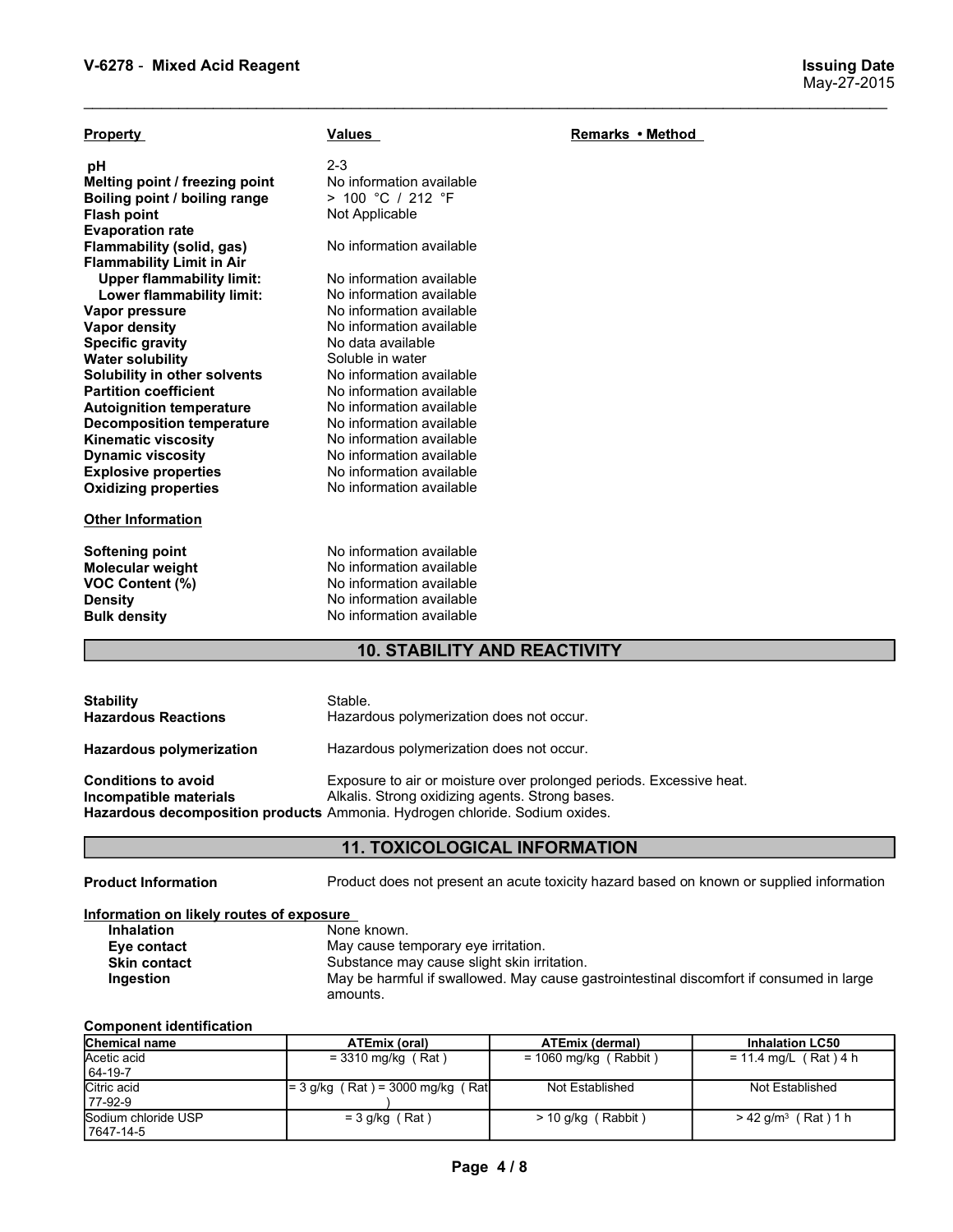| V-6278 - Mixed Acid Reagent                                                                                                         |                                                                 |                                                                                          | <b>Issuing Date</b><br>May-27-2015 |
|-------------------------------------------------------------------------------------------------------------------------------------|-----------------------------------------------------------------|------------------------------------------------------------------------------------------|------------------------------------|
| <b>Property</b>                                                                                                                     | <b>Values</b>                                                   | Remarks • Method                                                                         |                                    |
| рH                                                                                                                                  | $2 - 3$                                                         |                                                                                          |                                    |
| Melting point / freezing point<br>Boiling point / boiling range<br><b>Flash point</b>                                               | No information available<br>> 100 °C / 212 °F<br>Not Applicable |                                                                                          |                                    |
| <b>Evaporation rate</b><br>Flammability (solid, gas)                                                                                | No information available                                        |                                                                                          |                                    |
| <b>Flammability Limit in Air</b><br><b>Upper flammability limit:</b>                                                                | No information available                                        |                                                                                          |                                    |
| Lower flammability limit:<br>Vapor pressure                                                                                         | No information available<br>No information available            |                                                                                          |                                    |
| <b>Vapor density</b><br><b>Specific gravity</b>                                                                                     | No information available<br>No data available                   |                                                                                          |                                    |
| <b>Water solubility</b><br>Solubility in other solvents                                                                             | Soluble in water<br>No information available                    |                                                                                          |                                    |
| <b>Partition coefficient</b><br><b>Autoignition temperature</b>                                                                     | No information available<br>No information available            |                                                                                          |                                    |
| <b>Decomposition temperature</b><br><b>Kinematic viscosity</b>                                                                      | No information available<br>No information available            |                                                                                          |                                    |
| <b>Dynamic viscosity</b><br><b>Explosive properties</b>                                                                             | No information available<br>No information available            |                                                                                          |                                    |
| <b>Oxidizing properties</b>                                                                                                         | No information available                                        |                                                                                          |                                    |
| <b>Other Information</b>                                                                                                            |                                                                 |                                                                                          |                                    |
| <b>Softening point</b><br>Molecular weight                                                                                          | No information available<br>No information available            |                                                                                          |                                    |
| VOC Content (%)<br><b>Density</b>                                                                                                   | No information available<br>No information available            |                                                                                          |                                    |
| <b>Bulk density</b>                                                                                                                 | No information available                                        |                                                                                          |                                    |
|                                                                                                                                     | <b>10. STABILITY AND REACTIVITY</b>                             |                                                                                          |                                    |
| <b>Stability</b><br><b>Hazardous Reactions</b>                                                                                      | Stable.<br>Hazardous polymerization does not occur.             |                                                                                          |                                    |
| Hazardous polymerization                                                                                                            | Hazardous polymerization does not occur.                        |                                                                                          |                                    |
| <b>Conditions to avoid</b><br>Incompatible materials<br>Hazardous decomposition products Ammonia. Hydrogen chloride. Sodium oxides. | Alkalis. Strong oxidizing agents. Strong bases.                 | Exposure to air or moisture over prolonged periods. Excessive heat.                      |                                    |
|                                                                                                                                     | <b>11. TOXICOLOGICAL INFORMATION</b>                            |                                                                                          |                                    |
| <b>Product Information</b>                                                                                                          |                                                                 | Product does not present an acute toxicity hazard based on known or supplied information |                                    |
| Information on likely routes of exposure                                                                                            |                                                                 |                                                                                          |                                    |
| Inhalation<br>Eye contact                                                                                                           | None known.<br>May cause temporary eye irritation.              |                                                                                          |                                    |
| <b>Skin contact</b><br>Ingestion                                                                                                    | Substance may cause slight skin irritation.                     | May be harmful if swallowed. May cause gastrointestinal discomfort if consumed in large  |                                    |
|                                                                                                                                     | amounts.                                                        |                                                                                          |                                    |

# 10. STABILITY AND REACTIVITY

| Softening point<br>Molecular weight<br>VOC Content (%)<br><b>Density</b><br><b>Bulk density</b>                  | No information available<br>No information available<br>No information available<br>No information available<br>No information available |                                                                                         |                                                                                          |  |
|------------------------------------------------------------------------------------------------------------------|------------------------------------------------------------------------------------------------------------------------------------------|-----------------------------------------------------------------------------------------|------------------------------------------------------------------------------------------|--|
|                                                                                                                  | <b>10. STABILITY AND REACTIVITY</b>                                                                                                      |                                                                                         |                                                                                          |  |
| <b>Stability</b><br><b>Hazardous Reactions</b>                                                                   | Stable.<br>Hazardous polymerization does not occur.                                                                                      |                                                                                         |                                                                                          |  |
| <b>Hazardous polymerization</b>                                                                                  | Hazardous polymerization does not occur.                                                                                                 |                                                                                         |                                                                                          |  |
| <b>Conditions to avoid</b><br>Incompatible materials                                                             | Alkalis. Strong oxidizing agents. Strong bases.<br>Hazardous decomposition products Ammonia. Hydrogen chloride. Sodium oxides.           | Exposure to air or moisture over prolonged periods. Excessive heat.                     |                                                                                          |  |
|                                                                                                                  | <b>11. TOXICOLOGICAL INFORMATION</b>                                                                                                     |                                                                                         |                                                                                          |  |
| <b>Product Information</b>                                                                                       |                                                                                                                                          |                                                                                         | Product does not present an acute toxicity hazard based on known or supplied information |  |
| Information on likely routes of exposure<br><b>Inhalation</b><br>Eye contact<br><b>Skin contact</b><br>Ingestion | None known.<br>May cause temporary eye irritation.<br>Substance may cause slight skin irritation.<br>amounts.                            | May be harmful if swallowed. May cause gastrointestinal discomfort if consumed in large |                                                                                          |  |
| <b>Component identification</b>                                                                                  |                                                                                                                                          |                                                                                         |                                                                                          |  |
| Chemical name                                                                                                    | <b>ATEmix (oral)</b>                                                                                                                     | <b>ATEmix (dermal)</b>                                                                  | <b>Inhalation LC50</b>                                                                   |  |
| Acetic acid<br>64-19-7                                                                                           | $= 3310$ mg/kg (Rat)                                                                                                                     | $= 1060$ mg/kg (Rabbit)                                                                 | $= 11.4$ mg/L (Rat) 4 h                                                                  |  |
| Citric acid<br>77-92-9                                                                                           | $=$ 3 g/kg (Rat) = 3000 mg/kg (Rat                                                                                                       | Not Established                                                                         | Not Established                                                                          |  |
|                                                                                                                  |                                                                                                                                          |                                                                                         |                                                                                          |  |

# 11. TOXICOLOGICAL INFORMATION

| Information on likely routes of exposure |                                                                                         |
|------------------------------------------|-----------------------------------------------------------------------------------------|
| <b>Inhalation</b>                        | None known.                                                                             |
| Eye contact                              | May cause temporary eye irritation.                                                     |
| <b>Skin contact</b>                      | Substance may cause slight skin irritation.                                             |
| Ingestion                                | May be harmful if swallowed. May cause gastrointestinal discomfort if consu<br>amounts. |

| <b>Stability</b><br><b>Hazardous Reactions</b>                                                                                                      | Stable.<br>Hazardous polymerization does not occur.                                                                                                                                                      |                                                                     |                                                                                          |
|-----------------------------------------------------------------------------------------------------------------------------------------------------|----------------------------------------------------------------------------------------------------------------------------------------------------------------------------------------------------------|---------------------------------------------------------------------|------------------------------------------------------------------------------------------|
| <b>Hazardous polymerization</b>                                                                                                                     | Hazardous polymerization does not occur.                                                                                                                                                                 |                                                                     |                                                                                          |
| <b>Conditions to avoid</b><br>Incompatible materials                                                                                                | Alkalis. Strong oxidizing agents. Strong bases.<br>Hazardous decomposition products Ammonia. Hydrogen chloride. Sodium oxides.                                                                           | Exposure to air or moisture over prolonged periods. Excessive heat. |                                                                                          |
|                                                                                                                                                     | <b>11. TOXICOLOGICAL INFORMATION</b>                                                                                                                                                                     |                                                                     |                                                                                          |
| <b>Product Information</b>                                                                                                                          |                                                                                                                                                                                                          |                                                                     | Product does not present an acute toxicity hazard based on known or supplied information |
| Information on likely routes of exposure<br><b>Inhalation</b><br>Eye contact<br><b>Skin contact</b><br>Ingestion<br><b>Component identification</b> | None known.<br>May cause temporary eye irritation.<br>Substance may cause slight skin irritation.<br>May be harmful if swallowed. May cause gastrointestinal discomfort if consumed in large<br>amounts. |                                                                     |                                                                                          |
| Chemical name                                                                                                                                       | <b>ATEmix (oral)</b>                                                                                                                                                                                     | <b>ATEmix (dermal)</b>                                              | <b>Inhalation LC50</b>                                                                   |
| Acetic acid<br>64-19-7                                                                                                                              | $=$ 3310 mg/kg (Rat)                                                                                                                                                                                     | $= 1060$ mg/kg (Rabbit)                                             | $= 11.4$ mg/L (Rat) 4 h                                                                  |
| Citric acid<br>77-92-9                                                                                                                              | $= 3$ g/kg (Rat) = 3000 mg/kg (Rat                                                                                                                                                                       | Not Established                                                     | Not Established                                                                          |
| Sodium chloride USP<br>7647-14-5                                                                                                                    | $= 3$ g/kg (Rat)                                                                                                                                                                                         | $> 10$ g/kg (Rabbit)                                                | $> 42$ g/m <sup>3</sup> (Rat) 1 h                                                        |
|                                                                                                                                                     | Page 4/8                                                                                                                                                                                                 |                                                                     |                                                                                          |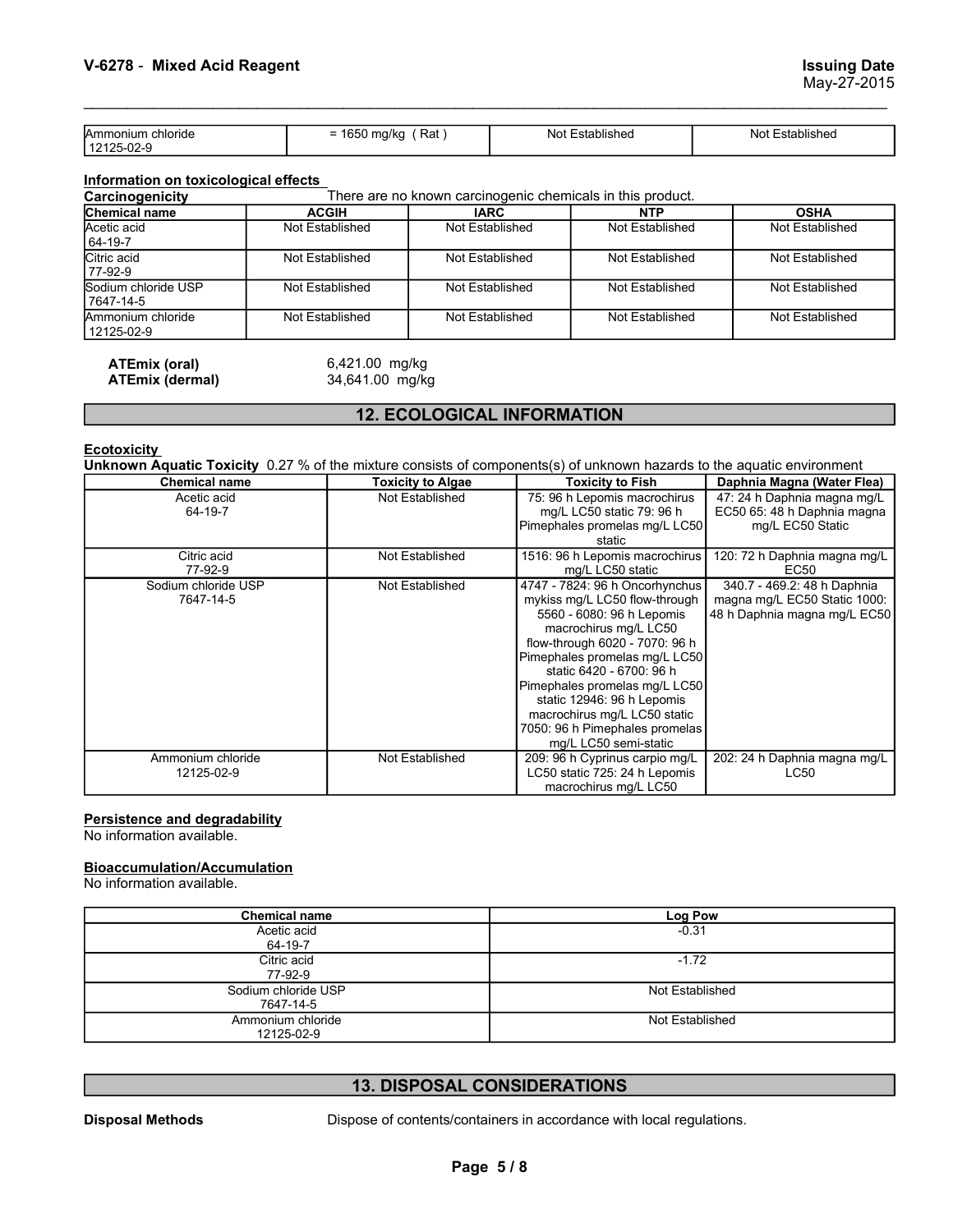| V-6278 - Mixed Acid Reagent          |                      |             |                                                                          | <b>Issuing Date</b> |  |
|--------------------------------------|----------------------|-------------|--------------------------------------------------------------------------|---------------------|--|
|                                      |                      |             |                                                                          | May-27-2015         |  |
|                                      |                      |             |                                                                          |                     |  |
| Ammonium chloride                    | $= 1650$ mg/kg (Rat) |             | Not Established                                                          | Not Established     |  |
| 12125-02-9                           |                      |             |                                                                          |                     |  |
| Information on toxicological effects |                      |             |                                                                          |                     |  |
| Carcinogenicity<br>Chemical name     | <b>ACGIH</b>         | <b>IARC</b> | There are no known carcinogenic chemicals in this product.<br><b>NTP</b> | <b>OSHA</b>         |  |

| V-6278 - Mixed Acid Reagent                    |                 |                                             |                                                            | <b>Issuing Date</b>                                                                                                    |
|------------------------------------------------|-----------------|---------------------------------------------|------------------------------------------------------------|------------------------------------------------------------------------------------------------------------------------|
|                                                |                 |                                             |                                                            | May-27-2015                                                                                                            |
| Ammonium chloride                              |                 |                                             |                                                            |                                                                                                                        |
| 12125-02-9                                     |                 | $= 1650$ mg/kg (Rat)                        | Not Established                                            | Not Established                                                                                                        |
| Information on toxicological effects           |                 |                                             |                                                            |                                                                                                                        |
| Carcinogenicity                                |                 |                                             | There are no known carcinogenic chemicals in this product. |                                                                                                                        |
| Chemical name<br>Acetic acid                   | <b>ACGIH</b>    | <b>IARC</b>                                 | <b>NTP</b>                                                 | <b>OSHA</b>                                                                                                            |
| 64-19-7                                        | Not Established | Not Established                             | Not Established                                            | Not Established                                                                                                        |
| Citric acid<br>77-92-9                         | Not Established | Not Established                             | Not Established                                            | Not Established                                                                                                        |
| Sodium chloride USP<br>7647-14-5               | Not Established | Not Established                             | Not Established                                            | Not Established                                                                                                        |
| Ammonium chloride<br>12125-02-9                | Not Established | Not Established                             | Not Established                                            | Not Established                                                                                                        |
|                                                |                 | 6,421.00 mg/kg                              |                                                            |                                                                                                                        |
| <b>ATEmix (oral)</b><br><b>ATEmix (dermal)</b> |                 | 34,641.00 mg/kg                             |                                                            |                                                                                                                        |
|                                                |                 | <b>12. ECOLOGICAL INFORMATION</b>           |                                                            |                                                                                                                        |
|                                                |                 |                                             |                                                            |                                                                                                                        |
| <b>Ecotoxicity</b>                             |                 |                                             |                                                            |                                                                                                                        |
|                                                |                 |                                             |                                                            | Unknown Aquatic Toxicity 0.27 % of the mixture consists of components(s) of unknown hazards to the aquatic environment |
| <b>Chemical name</b><br>Acetic acid            |                 | <b>Toxicity to Algae</b><br>Not Established | <b>Toxicity to Fish</b><br>75: 96 h Lepomis macrochirus    | Daphnia Magna (Water Flea)<br>47: 24 h Daphnia magna mg/L                                                              |
| 64-19-7                                        |                 |                                             | mg/L LC50 static 79: 96 h                                  | EC50 65: 48 h Daphnia magna                                                                                            |
|                                                |                 |                                             | Pimephales promelas mg/L LC50<br>static                    | mg/L EC50 Static                                                                                                       |
| Citric acid                                    |                 | Not Established                             | 1516: 96 h Lepomis macrochirus                             | 120: 72 h Daphnia magna mg/L                                                                                           |
| 77-92-9<br>Sodium chloride USP                 |                 | Not Established                             | mg/L LC50 static<br>4747 - 7824: 96 h Oncorhynchus         | <b>EC50</b><br>340.7 - 469.2: 48 h Daphnia                                                                             |
|                                                |                 |                                             |                                                            |                                                                                                                        |

# 12. ECOLOGICAL INFORMATION

| 12125-02-9                                                                                                                                   |                                  |                                   |                                   |                                                                                                                                                                                                                                                                                                                                                                                |                                                                                             |  |
|----------------------------------------------------------------------------------------------------------------------------------------------|----------------------------------|-----------------------------------|-----------------------------------|--------------------------------------------------------------------------------------------------------------------------------------------------------------------------------------------------------------------------------------------------------------------------------------------------------------------------------------------------------------------------------|---------------------------------------------------------------------------------------------|--|
| Information on toxicological effects                                                                                                         |                                  |                                   |                                   |                                                                                                                                                                                                                                                                                                                                                                                |                                                                                             |  |
| Carcinogenicity                                                                                                                              |                                  |                                   |                                   | There are no known carcinogenic chemicals in this product.                                                                                                                                                                                                                                                                                                                     |                                                                                             |  |
| Chemical name                                                                                                                                |                                  | <b>ACGIH</b>                      | <b>IARC</b>                       | <b>NTP</b>                                                                                                                                                                                                                                                                                                                                                                     | <b>OSHA</b>                                                                                 |  |
| Acetic acid<br>64-19-7                                                                                                                       |                                  | Not Established                   | Not Established                   | Not Established                                                                                                                                                                                                                                                                                                                                                                | Not Established                                                                             |  |
| Citric acid<br>77-92-9                                                                                                                       |                                  | Not Established                   | Not Established                   | Not Established                                                                                                                                                                                                                                                                                                                                                                | Not Established                                                                             |  |
| Sodium chloride USP<br>7647-14-5                                                                                                             |                                  | Not Established                   | Not Established                   | Not Established                                                                                                                                                                                                                                                                                                                                                                | Not Established                                                                             |  |
| Ammonium chloride<br>12125-02-9                                                                                                              |                                  | Not Established                   | Not Established                   | Not Established                                                                                                                                                                                                                                                                                                                                                                | Not Established                                                                             |  |
| ATEmix (oral)<br><b>ATEmix (dermal)</b>                                                                                                      |                                  | 6,421.00 mg/kg<br>34,641.00 mg/kg |                                   |                                                                                                                                                                                                                                                                                                                                                                                |                                                                                             |  |
|                                                                                                                                              |                                  |                                   | <b>12. ECOLOGICAL INFORMATION</b> |                                                                                                                                                                                                                                                                                                                                                                                |                                                                                             |  |
| <b>Ecotoxicity</b><br>Unknown Aquatic Toxicity 0.27 % of the mixture consists of components(s) of unknown hazards to the aquatic environment |                                  |                                   |                                   |                                                                                                                                                                                                                                                                                                                                                                                |                                                                                             |  |
| <b>Chemical name</b>                                                                                                                         |                                  |                                   | <b>Toxicity to Algae</b>          | <b>Toxicity to Fish</b>                                                                                                                                                                                                                                                                                                                                                        | Daphnia Magna (Water Flea)                                                                  |  |
| Acetic acid<br>64-19-7                                                                                                                       |                                  |                                   | Not Established                   | 75: 96 h Lepomis macrochirus<br>mg/L LC50 static 79: 96 h<br>Pimephales promelas mg/L LC50<br>static                                                                                                                                                                                                                                                                           | 47: 24 h Daphnia magna mg/L<br>EC50 65: 48 h Daphnia magna<br>mg/L EC50 Static              |  |
| Citric acid<br>77-92-9                                                                                                                       |                                  |                                   | Not Established                   | 1516: 96 h Lepomis macrochirus<br>mg/L LC50 static                                                                                                                                                                                                                                                                                                                             | 120: 72 h Daphnia magna mg/L<br>EC50                                                        |  |
| Sodium chloride USP<br>7647-14-5                                                                                                             |                                  |                                   | Not Established                   | 4747 - 7824: 96 h Oncorhynchus<br>mykiss mg/L LC50 flow-through<br>5560 - 6080: 96 h Lepomis<br>macrochirus mg/L LC50<br>flow-through 6020 - 7070: 96 h<br>Pimephales promelas mg/L LC50<br>static 6420 - 6700: 96 h<br>Pimephales promelas mg/L LC50<br>static 12946: 96 h Lepomis<br>macrochirus mg/L LC50 static<br>7050: 96 h Pimephales promelas<br>mg/L LC50 semi-static | 340.7 - 469.2: 48 h Daphnia<br>magna mg/L EC50 Static 1000:<br>48 h Daphnia magna mg/L EC50 |  |
| Ammonium chloride<br>12125-02-9                                                                                                              |                                  |                                   | Not Established                   | 209: 96 h Cyprinus carpio mg/L<br>LC50 static 725: 24 h Lepomis<br>macrochirus mg/L LC50                                                                                                                                                                                                                                                                                       | 202: 24 h Daphnia magna mg/L<br><b>LC50</b>                                                 |  |
| Persistence and degradability<br>No information available.<br><b>Bioaccumulation/Accumulation</b><br>No information available.               |                                  |                                   |                                   |                                                                                                                                                                                                                                                                                                                                                                                |                                                                                             |  |
|                                                                                                                                              | <b>Chemical name</b>             |                                   |                                   | Log Pow                                                                                                                                                                                                                                                                                                                                                                        |                                                                                             |  |
|                                                                                                                                              | Acetic acid<br>64-19-7           |                                   |                                   | $-0.31$                                                                                                                                                                                                                                                                                                                                                                        |                                                                                             |  |
|                                                                                                                                              | Citric acid<br>77-92-9           |                                   |                                   | $-1.72$                                                                                                                                                                                                                                                                                                                                                                        |                                                                                             |  |
|                                                                                                                                              | Sodium chloride USP<br>7647-14-5 |                                   |                                   | Not Established                                                                                                                                                                                                                                                                                                                                                                |                                                                                             |  |
|                                                                                                                                              |                                  |                                   |                                   |                                                                                                                                                                                                                                                                                                                                                                                |                                                                                             |  |

# **Bioaccumulation/Accumulation**<br>No information available.

| <b>Disposal Methods</b>                                          |                                     |                                                                                           |                              |
|------------------------------------------------------------------|-------------------------------------|-------------------------------------------------------------------------------------------|------------------------------|
|                                                                  |                                     | Dispose of contents/containers in accordance with local regulations.                      |                              |
|                                                                  | <b>13. DISPOSAL CONSIDERATIONS</b>  |                                                                                           |                              |
|                                                                  | 12125-02-9                          |                                                                                           |                              |
|                                                                  | Ammonium chloride                   | Not Established                                                                           |                              |
|                                                                  | Sodium chloride USP<br>7647-14-5    | Not Established                                                                           |                              |
|                                                                  | 77-92-9                             |                                                                                           |                              |
|                                                                  | 64-19-7<br>Citric acid              | $-1.72$                                                                                   |                              |
|                                                                  | <b>Chemical name</b><br>Acetic acid | Log Pow<br>$-0.31$                                                                        |                              |
| <b>Bioaccumulation/Accumulation</b><br>No information available. |                                     |                                                                                           |                              |
| Persistence and degradability<br>No information available.       |                                     |                                                                                           |                              |
| 12125-02-9                                                       |                                     | LC50 static 725: 24 h Lepomis<br>macrochirus mg/L LC50                                    | <b>LC50</b>                  |
| Ammonium chloride                                                | Not Established                     | 7050: 96 h Pimephales promelas<br>mg/L LC50 semi-static<br>209: 96 h Cyprinus carpio mg/L | 202: 24 h Daphnia magna mg/L |

# 13. DISPOSAL CONSIDERATIONS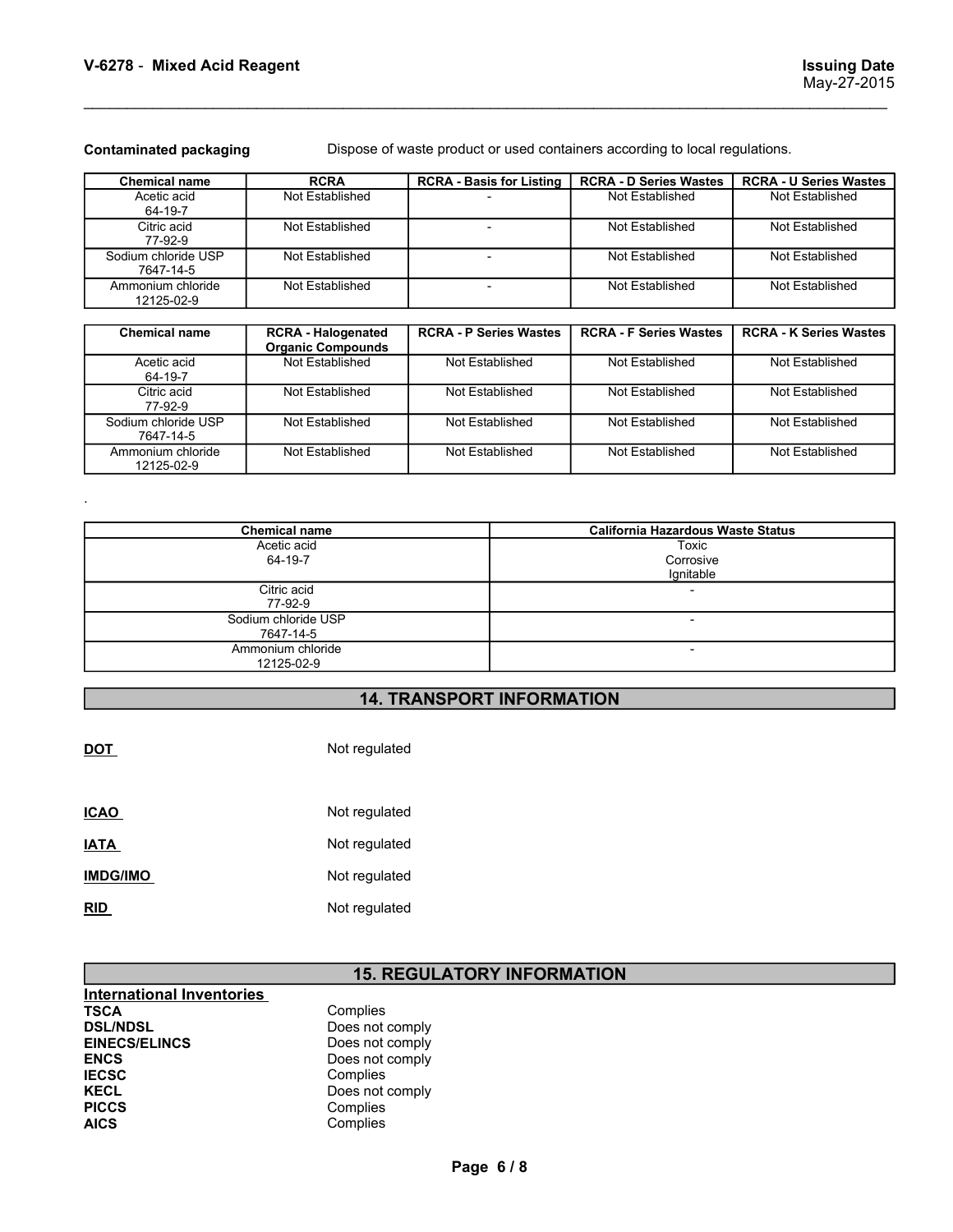V-6278 - Mixed Acid Reagent<br>Issuing Date<br>Contaminated packaging Dispose of waste product or used containers according to local regulations.

| V-6278 - Mixed Acid Reagent    |                                             |                                                                             |                               | <b>Issuing Date</b><br>May-27-2015               |
|--------------------------------|---------------------------------------------|-----------------------------------------------------------------------------|-------------------------------|--------------------------------------------------|
|                                |                                             |                                                                             |                               |                                                  |
|                                |                                             |                                                                             |                               |                                                  |
| <b>Contaminated packaging</b>  |                                             | Dispose of waste product or used containers according to local regulations. |                               |                                                  |
| <b>Chemical name</b>           | <b>RCRA</b>                                 | <b>RCRA - Basis for Listing</b>                                             | <b>RCRA - D Series Wastes</b> | <b>RCRA - U Series Wastes</b>                    |
| Acetic acid                    | Not Established                             |                                                                             | Not Established               | Not Established                                  |
| 64-19-7<br>Citric acid         | Not Established                             | $\overline{\phantom{a}}$                                                    | Not Established               | Not Established                                  |
|                                |                                             |                                                                             |                               |                                                  |
| 77-92-9                        |                                             |                                                                             |                               |                                                  |
| Sodium chloride USP            | Not Established                             | $\overline{\phantom{a}}$                                                    | Not Established               | Not Established                                  |
| 7647-14-5<br>Ammonium chloride | Not Established                             | $\overline{a}$                                                              | Not Established               | Not Established                                  |
| 12125-02-9                     |                                             |                                                                             |                               |                                                  |
| <b>Chemical name</b>           | <b>RCRA - Halogenated</b>                   | <b>RCRA - P Series Wastes</b>                                               | <b>RCRA - F Series Wastes</b> |                                                  |
| Acetic acid<br>64-19-7         | <b>Organic Compounds</b><br>Not Established | Not Established                                                             | Not Established               | <b>RCRA - K Series Wastes</b><br>Not Established |
| Citric acid<br>77-92-9         | Not Established                             | Not Established                                                             | Not Established               | Not Established                                  |

| V-6278 - Mixed Acid Reagent      |                                                       |                                                                             |                                          | <b>Issuing Date</b><br>May-27-2015 |
|----------------------------------|-------------------------------------------------------|-----------------------------------------------------------------------------|------------------------------------------|------------------------------------|
| <b>Contaminated packaging</b>    |                                                       | Dispose of waste product or used containers according to local regulations. |                                          |                                    |
| <b>Chemical name</b>             | <b>RCRA</b>                                           | <b>RCRA - Basis for Listing</b>                                             | <b>RCRA - D Series Wastes</b>            | <b>RCRA - U Series Wastes</b>      |
| Acetic acid<br>64-19-7           | Not Established                                       |                                                                             | Not Established                          | Not Established                    |
| Citric acid<br>77-92-9           | Not Established                                       | $\overline{\phantom{a}}$                                                    | Not Established                          | Not Established                    |
| Sodium chloride USP<br>7647-14-5 | Not Established                                       | $\blacksquare$                                                              | Not Established                          | Not Established                    |
| Ammonium chloride<br>12125-02-9  | Not Established                                       | $\overline{\phantom{a}}$                                                    | Not Established                          | Not Established                    |
| <b>Chemical name</b>             | <b>RCRA - Halogenated</b><br><b>Organic Compounds</b> | <b>RCRA - P Series Wastes</b>                                               | <b>RCRA - F Series Wastes</b>            | <b>RCRA - K Series Wastes</b>      |
| Acetic acid<br>64-19-7           | Not Established                                       | Not Established                                                             | Not Established                          | Not Established                    |
| Citric acid<br>77-92-9           | Not Established                                       | Not Established                                                             | Not Established                          | Not Established                    |
| Sodium chloride USP<br>7647-14-5 | Not Established                                       | Not Established                                                             | Not Established                          | Not Established                    |
| Ammonium chloride<br>12125-02-9  | Not Established                                       | Not Established                                                             | Not Established                          | Not Established                    |
|                                  |                                                       |                                                                             |                                          |                                    |
|                                  | <b>Chemical name</b>                                  |                                                                             | <b>California Hazardous Waste Status</b> |                                    |
|                                  | Acetic acid<br>64-19-7                                |                                                                             | Toxic<br>Corrosive<br>Ignitable          |                                    |
|                                  | Citric acid<br>77-92-9                                |                                                                             | $\blacksquare$                           |                                    |
|                                  | Sodium chloride USP                                   |                                                                             | $\overline{\phantom{a}}$                 |                                    |

| <b>Chemical name</b> | <b>California Hazardous Waste Status</b> |
|----------------------|------------------------------------------|
| Acetic acid          | Toxic                                    |
| 64-19-7              | Corrosive                                |
|                      | Ignitable                                |
| Citric acid          | -                                        |
| 77-92-9              |                                          |
| Sodium chloride USP  |                                          |
| 7647-14-5            |                                          |
| Ammonium chloride    | -                                        |
| 12125-02-9           |                                          |

# 14. TRANSPORT INFORMATION

|                                     | Citric acid<br>77-92-9             |                                   |
|-------------------------------------|------------------------------------|-----------------------------------|
|                                     | Sodium chloride USP<br>7647-14-5   |                                   |
|                                     | Ammonium chloride<br>12125-02-9    | $\overline{\phantom{a}}$          |
|                                     |                                    | <b>14. TRANSPORT INFORMATION</b>  |
| <b>DOT</b>                          | Not regulated                      |                                   |
| <b>ICAO</b>                         | Not regulated                      |                                   |
| <b>IATA</b>                         | Not regulated                      |                                   |
| <b>IMDG/IMO</b>                     | Not regulated                      |                                   |
| RID                                 | Not regulated                      |                                   |
|                                     |                                    |                                   |
|                                     |                                    | <b>15. REGULATORY INFORMATION</b> |
| <b>International Inventories</b>    |                                    |                                   |
| <b>TSCA</b>                         | Complies                           |                                   |
| <b>DSL/NDSL</b>                     | Does not comply<br>Does not comply |                                   |
| <b>EINECS/ELINCS</b><br><b>ENCS</b> | Does not comply                    |                                   |
| <b>IECSC</b>                        | Complies                           |                                   |
| <b>KECL</b>                         | Does not comply                    |                                   |
| <b>PICCS</b>                        | Complies                           |                                   |
| <b>AICS</b>                         | Complies                           |                                   |
|                                     |                                    | Page 6/8                          |

# 15. REGULATORY INFORMATION TORY INFORMATION<br>Page 6/8<br>Page 6/8

| <b>International Inventories</b> |                 |
|----------------------------------|-----------------|
| <b>TSCA</b>                      | Complies        |
| <b>DSL/NDSL</b>                  | Does not comply |
| <b>EINECS/ELINCS</b>             | Does not comply |
| <b>ENCS</b>                      | Does not comply |
| <b>IECSC</b>                     | Complies        |
| <b>KECL</b>                      | Does not comply |
| <b>PICCS</b>                     | Complies        |
| <b>AICS</b>                      | Complies        |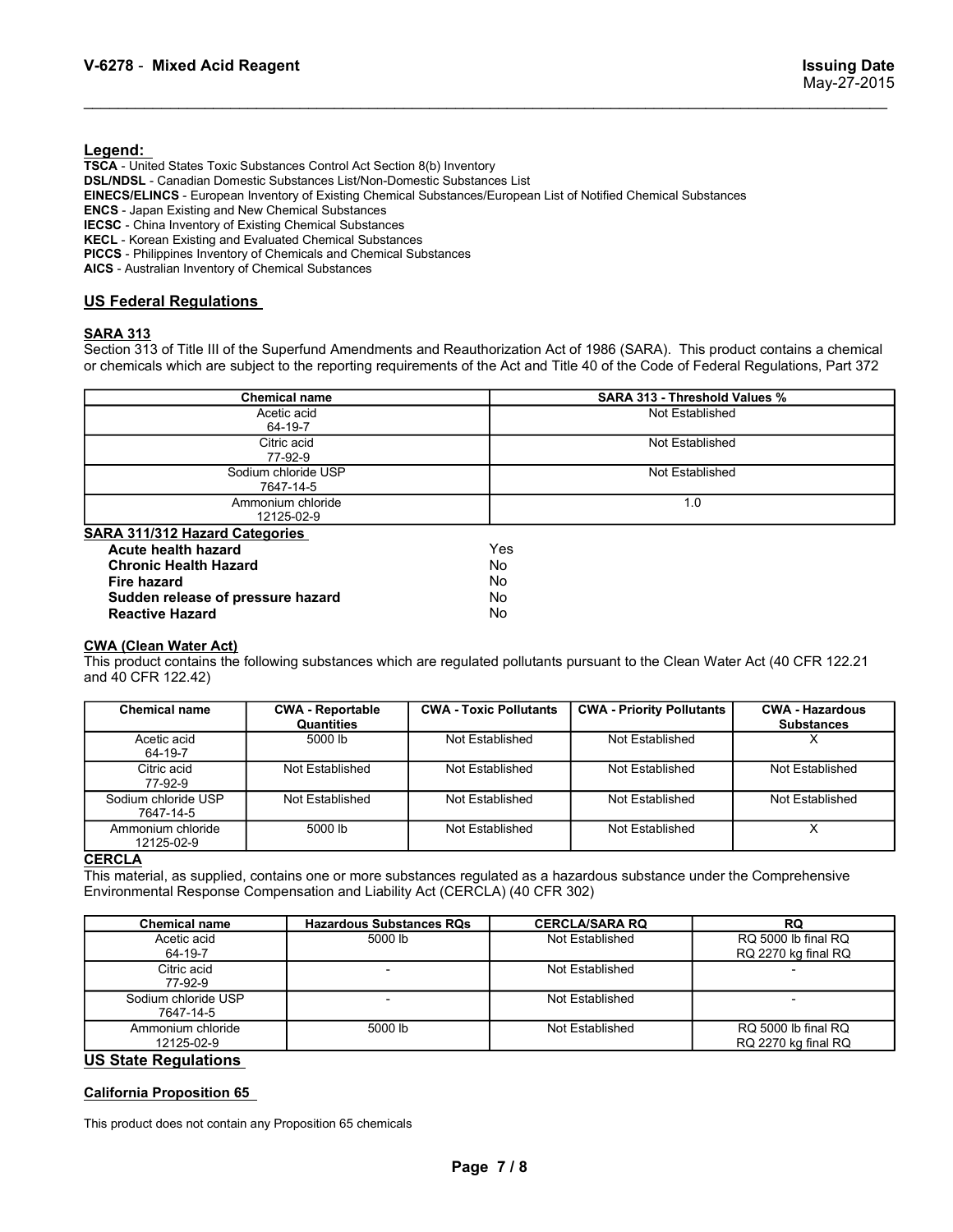# Legend:

V-6278 - Mixed Acid Reagent<br>| Issuing Date<br>|-<br>| Issuing Catalogue Acid Reagent | Act Socion 8(b) | Digital Catalogue Issuing Date TSCA - United States Toxic Substances Control Act Section 8(b) Inventory DSL/NDSL - Canadian Domestic Substances List/Non-Domestic Substances List EINECS/ELINCS - European Inventory of Existing Chemical Substances/European List of Notified Chemical Substances ENCS - Japan Existing and New Chemical Substances IECSC - China Inventory of Existing Chemical Substances KECL - Korean Existing and Evaluated Chemical Substances PICCS - Philippines Inventory of Chemicals and Chemical Substances V-6278 - Mixed Acid Reagent<br>
<u>Legend:</u><br>
TSCA - United States Toxic Substances Control Act Section 8(b) Inventory<br>
TSCA - United States Toxic Substances Control Act Section 8(b) Inventory<br>
ENCS - Japan Existing and INvertor V-6278 - Mixed Acid Reagent<br>
May-27-2015<br>
May-27-2015<br>
Section 313 of the Substances Control Art Section 8(b) Inventory<br>
ENCES - Limited Substances Control And Section 8 Substances List<br>
ENCES - Exerce Fund III of the Supe **Chemical States Toric Substances Control Ad Sedion 8(8) Inventory<br>
Legendia<br>
DSLAMBA-27-2015<br>
DSLAMBA-28 - Chemical Substances List<br>
DSLAMBA-Chemical Substances List<br>
EINCS-LIGNE-Comentent Substances List<br>
EINCS-LIGNE-Cor** 

| V-6278 - Mixed Acid Reagent                                                                                                                                                                                                                                                                                                                                                                                                                                                                   |                                       |                               |                                                                                                                        | <b>Issuing Date</b><br>May-27-2015                                                                                                                                                                                                                                 |
|-----------------------------------------------------------------------------------------------------------------------------------------------------------------------------------------------------------------------------------------------------------------------------------------------------------------------------------------------------------------------------------------------------------------------------------------------------------------------------------------------|---------------------------------------|-------------------------------|------------------------------------------------------------------------------------------------------------------------|--------------------------------------------------------------------------------------------------------------------------------------------------------------------------------------------------------------------------------------------------------------------|
| Legend:<br>TSCA - United States Toxic Substances Control Act Section 8(b) Inventory<br><b>DSL/NDSL</b> - Canadian Domestic Substances List/Non-Domestic Substances List<br><b>ENCS</b> - Japan Existing and New Chemical Substances<br><b>IECSC</b> - China Inventory of Existing Chemical Substances<br>KECL - Korean Existing and Evaluated Chemical Substances<br>PICCS - Philippines Inventory of Chemicals and Chemical Substances<br>AICS - Australian Inventory of Chemical Substances |                                       |                               | EINECS/ELINCS - European Inventory of Existing Chemical Substances/European List of Notified Chemical Substances       |                                                                                                                                                                                                                                                                    |
| <b>US Federal Regulations</b>                                                                                                                                                                                                                                                                                                                                                                                                                                                                 |                                       |                               |                                                                                                                        |                                                                                                                                                                                                                                                                    |
| <b>SARA 313</b>                                                                                                                                                                                                                                                                                                                                                                                                                                                                               |                                       |                               |                                                                                                                        | Section 313 of Title III of the Superfund Amendments and Reauthorization Act of 1986 (SARA). This product contains a chemical<br>or chemicals which are subject to the reporting requirements of the Act and Title 40 of the Code of Federal Regulations, Part 372 |
|                                                                                                                                                                                                                                                                                                                                                                                                                                                                                               | <b>Chemical name</b>                  |                               | <b>SARA 313 - Threshold Values %</b>                                                                                   |                                                                                                                                                                                                                                                                    |
|                                                                                                                                                                                                                                                                                                                                                                                                                                                                                               | Acetic acid                           |                               | Not Established                                                                                                        |                                                                                                                                                                                                                                                                    |
|                                                                                                                                                                                                                                                                                                                                                                                                                                                                                               | 64-19-7<br>Citric acid                |                               | Not Established                                                                                                        |                                                                                                                                                                                                                                                                    |
|                                                                                                                                                                                                                                                                                                                                                                                                                                                                                               | 77-92-9                               |                               |                                                                                                                        |                                                                                                                                                                                                                                                                    |
|                                                                                                                                                                                                                                                                                                                                                                                                                                                                                               | Sodium chloride USP<br>7647-14-5      |                               | Not Established                                                                                                        |                                                                                                                                                                                                                                                                    |
|                                                                                                                                                                                                                                                                                                                                                                                                                                                                                               | Ammonium chloride                     |                               | 1.0                                                                                                                    |                                                                                                                                                                                                                                                                    |
| SARA 311/312 Hazard Categories                                                                                                                                                                                                                                                                                                                                                                                                                                                                | 12125-02-9                            |                               |                                                                                                                        |                                                                                                                                                                                                                                                                    |
| <b>Acute health hazard</b><br><b>Chronic Health Hazard</b><br><b>Fire hazard</b><br>Sudden release of pressure hazard<br><b>Reactive Hazard</b>                                                                                                                                                                                                                                                                                                                                               |                                       | Yes<br>No<br>No<br>No<br>No   |                                                                                                                        |                                                                                                                                                                                                                                                                    |
| <b>CWA (Clean Water Act)</b><br>and 40 CFR 122.42)                                                                                                                                                                                                                                                                                                                                                                                                                                            |                                       |                               |                                                                                                                        | This product contains the following substances which are regulated pollutants pursuant to the Clean Water Act (40 CFR 122.21                                                                                                                                       |
| <b>Chemical name</b>                                                                                                                                                                                                                                                                                                                                                                                                                                                                          | <b>CWA - Reportable</b><br>Quantities | <b>CWA - Toxic Pollutants</b> | <b>CWA - Priority Pollutants</b>                                                                                       | <b>CWA - Hazardous</b><br><b>Substances</b>                                                                                                                                                                                                                        |
| Acetic acid<br>64-19-7                                                                                                                                                                                                                                                                                                                                                                                                                                                                        | 5000 lb                               | Not Established               | Not Established                                                                                                        | X                                                                                                                                                                                                                                                                  |
| Citric acid<br>77-92-9                                                                                                                                                                                                                                                                                                                                                                                                                                                                        | Not Established                       | Not Established               | Not Established                                                                                                        | Not Established                                                                                                                                                                                                                                                    |
| Sodium chloride USP                                                                                                                                                                                                                                                                                                                                                                                                                                                                           | Not Established                       | Not Established               | Not Established                                                                                                        | Not Established                                                                                                                                                                                                                                                    |
| 7647-14-5<br>Ammonium chloride<br>12125-02-9                                                                                                                                                                                                                                                                                                                                                                                                                                                  | 5000 lb                               | Not Established               | Not Established                                                                                                        | $\overline{\mathsf{x}}$                                                                                                                                                                                                                                            |
| <b>CERCLA</b>                                                                                                                                                                                                                                                                                                                                                                                                                                                                                 |                                       |                               |                                                                                                                        |                                                                                                                                                                                                                                                                    |
| Environmental Response Compensation and Liability Act (CERCLA) (40 CFR 302)                                                                                                                                                                                                                                                                                                                                                                                                                   |                                       |                               | This material, as supplied, contains one or more substances regulated as a hazardous substance under the Comprehensive |                                                                                                                                                                                                                                                                    |
| <b>Chemical name</b>                                                                                                                                                                                                                                                                                                                                                                                                                                                                          | <b>Hazardous Substances RQs</b>       |                               | <b>CERCLA/SARA RQ</b>                                                                                                  | RQ                                                                                                                                                                                                                                                                 |

|                                                                                                                              | Sodium chloride USP                        |                               |           | Not Established                          |                                             |  |
|------------------------------------------------------------------------------------------------------------------------------|--------------------------------------------|-------------------------------|-----------|------------------------------------------|---------------------------------------------|--|
|                                                                                                                              | 7647-14-5<br>Ammonium chloride             |                               |           | 1.0                                      |                                             |  |
|                                                                                                                              | 12125-02-9                                 |                               |           |                                          |                                             |  |
| <b>SARA 311/312 Hazard Categories</b>                                                                                        |                                            |                               |           |                                          |                                             |  |
| Acute health hazard                                                                                                          |                                            |                               | Yes       |                                          |                                             |  |
| <b>Chronic Health Hazard</b>                                                                                                 |                                            |                               | <b>No</b> |                                          |                                             |  |
| <b>Fire hazard</b>                                                                                                           |                                            |                               | No        |                                          |                                             |  |
| Sudden release of pressure hazard                                                                                            |                                            |                               | No        |                                          |                                             |  |
| <b>Reactive Hazard</b>                                                                                                       |                                            |                               | No        |                                          |                                             |  |
| <b>CWA (Clean Water Act)</b>                                                                                                 |                                            |                               |           |                                          |                                             |  |
| This product contains the following substances which are regulated pollutants pursuant to the Clean Water Act (40 CFR 122.21 |                                            |                               |           |                                          |                                             |  |
| and 40 CFR 122.42)                                                                                                           |                                            |                               |           |                                          |                                             |  |
|                                                                                                                              |                                            |                               |           |                                          |                                             |  |
| <b>Chemical name</b>                                                                                                         | <b>CWA - Reportable</b><br>Quantities      | <b>CWA - Toxic Pollutants</b> |           | <b>CWA - Priority Pollutants</b>         | <b>CWA - Hazardous</b><br><b>Substances</b> |  |
| Acetic acid<br>64-19-7                                                                                                       | 5000 lb                                    | Not Established               |           | Not Established                          | X                                           |  |
| Citric acid<br>77-92-9                                                                                                       | Not Established                            | Not Established               |           | Not Established                          | Not Established                             |  |
| Sodium chloride USP<br>7647-14-5                                                                                             | Not Established                            | Not Established               |           | Not Established                          | Not Established                             |  |
| Ammonium chloride<br>12125-02-9                                                                                              | 5000 lb                                    | Not Established               |           | Not Established                          | X                                           |  |
| <b>CERCLA</b>                                                                                                                |                                            |                               |           |                                          |                                             |  |
| This material, as supplied, contains one or more substances regulated as a hazardous substance under the Comprehensive       |                                            |                               |           |                                          |                                             |  |
| Environmental Response Compensation and Liability Act (CERCLA) (40 CFR 302)                                                  |                                            |                               |           |                                          |                                             |  |
|                                                                                                                              |                                            |                               |           |                                          |                                             |  |
| <b>Chemical name</b><br>Acetic acid                                                                                          | <b>Hazardous Substances RQs</b><br>5000 lb |                               |           | <b>CERCLA/SARA RQ</b><br>Not Established | <b>RQ</b><br>RQ 5000 lb final RQ            |  |
| 64-19-7                                                                                                                      |                                            |                               |           |                                          | RQ 2270 kg final RQ                         |  |
| Citric acid                                                                                                                  | $\overline{a}$                             |                               |           | Not Established                          |                                             |  |
| 77-92-9                                                                                                                      |                                            |                               |           |                                          |                                             |  |
| Sodium chloride USP<br>7647-14-5                                                                                             |                                            |                               |           | Not Established                          |                                             |  |
| Ammonium chloride<br>12125-02-9                                                                                              | 5000 lb                                    |                               |           | Not Established                          | RQ 5000 lb final RQ<br>RQ 2270 kg final RQ  |  |
| <b>US State Regulations</b>                                                                                                  |                                            |                               |           |                                          |                                             |  |
|                                                                                                                              |                                            |                               |           |                                          |                                             |  |
| <b>California Proposition 65</b>                                                                                             |                                            |                               |           |                                          |                                             |  |
|                                                                                                                              |                                            |                               |           |                                          |                                             |  |
| This product does not contain any Proposition 65 chemicals                                                                   |                                            |                               |           |                                          |                                             |  |
|                                                                                                                              |                                            |                               |           |                                          |                                             |  |
|                                                                                                                              |                                            |                               |           |                                          |                                             |  |
|                                                                                                                              |                                            | Page 7/8                      |           |                                          |                                             |  |
|                                                                                                                              |                                            |                               |           |                                          |                                             |  |

# **CERCLA**

| Citric acid<br>Not Established<br>Not Established<br>Not Established<br>Not Established<br>77-92-9<br>Sodium chloride USP<br>Not Established<br>Not Established<br>Not Established<br>Not Established<br>7647-14-5<br>Ammonium chloride<br>5000 lb<br>Not Established<br>Not Established<br>$\overline{X}$<br>12125-02-9<br><b>Chemical name</b><br><b>Hazardous Substances RQs</b><br><b>CERCLA/SARA RQ</b><br><b>RQ</b><br>RQ 5000 lb final RQ<br>5000 lb<br>Acetic acid<br>Not Established<br>64-19-7<br>RQ 2270 kg final RQ<br>Not Established<br>Citric acid<br>$\overline{a}$<br>77-92-9<br>Sodium chloride USP<br>Not Established<br>7647-14-5<br>RQ 5000 lb final RQ<br>Ammonium chloride<br>5000 lb<br>Not Established<br>12125-02-9<br>RQ 2270 kg final RQ<br>Page 7/8 |                                                                                                                                                                                                                                                                                                                     |                                  |  |
|----------------------------------------------------------------------------------------------------------------------------------------------------------------------------------------------------------------------------------------------------------------------------------------------------------------------------------------------------------------------------------------------------------------------------------------------------------------------------------------------------------------------------------------------------------------------------------------------------------------------------------------------------------------------------------------------------------------------------------------------------------------------------------|---------------------------------------------------------------------------------------------------------------------------------------------------------------------------------------------------------------------------------------------------------------------------------------------------------------------|----------------------------------|--|
|                                                                                                                                                                                                                                                                                                                                                                                                                                                                                                                                                                                                                                                                                                                                                                                  |                                                                                                                                                                                                                                                                                                                     |                                  |  |
|                                                                                                                                                                                                                                                                                                                                                                                                                                                                                                                                                                                                                                                                                                                                                                                  | <b>CERCLA</b><br>This material, as supplied, contains one or more substances regulated as a hazardous substance under the Comprehensive<br>Environmental Response Compensation and Liability Act (CERCLA) (40 CFR 302)<br><b>US State Regulations</b><br>This product does not contain any Proposition 65 chemicals |                                  |  |
|                                                                                                                                                                                                                                                                                                                                                                                                                                                                                                                                                                                                                                                                                                                                                                                  |                                                                                                                                                                                                                                                                                                                     |                                  |  |
|                                                                                                                                                                                                                                                                                                                                                                                                                                                                                                                                                                                                                                                                                                                                                                                  |                                                                                                                                                                                                                                                                                                                     |                                  |  |
|                                                                                                                                                                                                                                                                                                                                                                                                                                                                                                                                                                                                                                                                                                                                                                                  |                                                                                                                                                                                                                                                                                                                     | <b>California Proposition 65</b> |  |
|                                                                                                                                                                                                                                                                                                                                                                                                                                                                                                                                                                                                                                                                                                                                                                                  |                                                                                                                                                                                                                                                                                                                     |                                  |  |
|                                                                                                                                                                                                                                                                                                                                                                                                                                                                                                                                                                                                                                                                                                                                                                                  |                                                                                                                                                                                                                                                                                                                     |                                  |  |
|                                                                                                                                                                                                                                                                                                                                                                                                                                                                                                                                                                                                                                                                                                                                                                                  |                                                                                                                                                                                                                                                                                                                     |                                  |  |
|                                                                                                                                                                                                                                                                                                                                                                                                                                                                                                                                                                                                                                                                                                                                                                                  |                                                                                                                                                                                                                                                                                                                     |                                  |  |
|                                                                                                                                                                                                                                                                                                                                                                                                                                                                                                                                                                                                                                                                                                                                                                                  |                                                                                                                                                                                                                                                                                                                     |                                  |  |
|                                                                                                                                                                                                                                                                                                                                                                                                                                                                                                                                                                                                                                                                                                                                                                                  |                                                                                                                                                                                                                                                                                                                     |                                  |  |
|                                                                                                                                                                                                                                                                                                                                                                                                                                                                                                                                                                                                                                                                                                                                                                                  |                                                                                                                                                                                                                                                                                                                     |                                  |  |
|                                                                                                                                                                                                                                                                                                                                                                                                                                                                                                                                                                                                                                                                                                                                                                                  |                                                                                                                                                                                                                                                                                                                     |                                  |  |